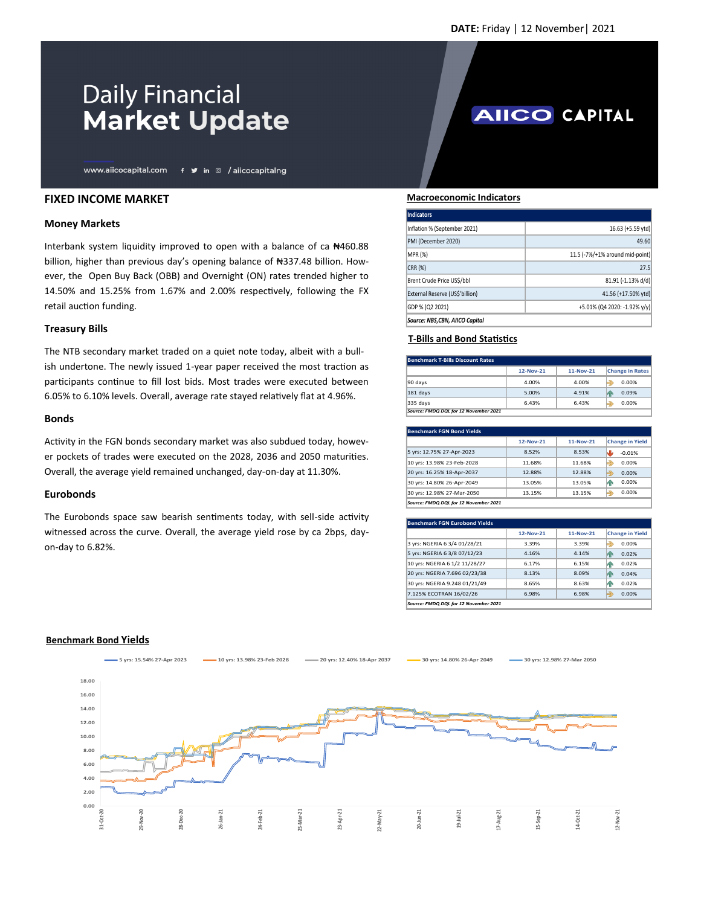**AIICO CAPITAL** 

# **Daily Financial Market Update**

www.aiicocapital.com f v in @ /aiicocapitalng

## **FIXED INCOME MARKET**

#### **Money Markets**

Interbank system liquidity improved to open with a balance of ca ₦460.88 billion, higher than previous day's opening balance of ₦337.48 billion. However, the Open Buy Back (OBB) and Overnight (ON) rates trended higher to 14.50% and 15.25% from 1.67% and 2.00% respectively, following the FX retail auction funding.

## **Treasury Bills**

The NTB secondary market traded on a quiet note today, albeit with a bullish undertone. The newly issued 1-year paper received the most traction as participants continue to fill lost bids. Most trades were executed between 6.05% to 6.10% levels. Overall, average rate stayed relatively flat at 4.96%.

#### **Bonds**

Activity in the FGN bonds secondary market was also subdued today, however pockets of trades were executed on the 2028, 2036 and 2050 maturities. Overall, the average yield remained unchanged, day-on-day at 11.30%.

## **Eurobonds**

The Eurobonds space saw bearish sentiments today, with sell-side activity witnessed across the curve. Overall, the average yield rose by ca 2bps, dayon-day to 6.82%.

#### **Macroeconomic Indicators**

| <b>Indicators</b>               |                                 |
|---------------------------------|---------------------------------|
| Inflation % (September 2021)    | 16.63 (+5.59 ytd)               |
| PMI (December 2020)             | 49.60                           |
| MPR (%)                         | 11.5 (-7%/+1% around mid-point) |
| CRR (%)                         | 27.5                            |
| Brent Crude Price US\$/bbl      | 81.91 (-1.13% d/d)              |
| External Reserve (US\$'billion) | 41.56 (+17.50% ytd)             |
| GDP % (Q2 2021)                 | +5.01% (Q4 2020: -1.92% y/y)    |
| Source: NBS,CBN, AIICO Capital  |                                 |

## **T-Bills and Bond Statistics**

| Benchmark T-Bills Discount Rates      |           |           |                        |  |
|---------------------------------------|-----------|-----------|------------------------|--|
|                                       | 12-Nov-21 | 11-Nov-21 | <b>Change in Rates</b> |  |
| 90 days                               | 4.00%     | 4.00%     | 0.00%                  |  |
| <b>181 days</b>                       | 5.00%     | 4.91%     | 0.09%<br>Й٢            |  |
| 335 days                              | 6.43%     | 6.43%     | 0.00%                  |  |
| Source: FMDQ DQL for 12 November 2021 |           |           |                        |  |

| <b>Benchmark FGN Bond Yields</b>      |           |           |                        |  |
|---------------------------------------|-----------|-----------|------------------------|--|
|                                       | 12-Nov-21 | 11-Nov-21 | <b>Change in Yield</b> |  |
| 5 yrs: 12.75% 27-Apr-2023             | 8.52%     | 8.53%     | $-0.01%$<br>ىلە        |  |
| 10 yrs: 13.98% 23-Feb-2028            | 11.68%    | 11.68%    | €<br>0.00%             |  |
| 20 yrs: 16.25% 18-Apr-2037            | 12.88%    | 12.88%    | 0.00%<br>Ð             |  |
| 30 yrs: 14.80% 26-Apr-2049            | 13.05%    | 13.05%    | 0.00%<br>А.            |  |
| 30 yrs: 12.98% 27-Mar-2050            | 13.15%    | 13.15%    | 0.00%<br>€             |  |
| Source: FMDQ DQL for 12 November 2021 |           |           |                        |  |

| <b>Benchmark FGN Eurobond Yields</b>  |           |           |                        |  |
|---------------------------------------|-----------|-----------|------------------------|--|
|                                       | 12-Nov-21 | 11-Nov-21 | <b>Change in Yield</b> |  |
| 3 yrs: NGERIA 6 3/4 01/28/21          | 3.39%     | 3.39%     | پ<br>0.00%             |  |
| 5 yrs: NGERIA 6 3/8 07/12/23          | 4.16%     | 4.14%     | 0.02%<br>ИΝ            |  |
| 10 yrs: NGERIA 6 1/2 11/28/27         | 6.17%     | 6.15%     | 0.02%<br>И٨            |  |
| 20 yrs: NGERIA 7.696 02/23/38         | 8.13%     | 8.09%     | 0.04%<br>ИΝ            |  |
| 30 yrs: NGERIA 9.248 01/21/49         | 8.65%     | 8.63%     | 0.02%<br>ИΝ            |  |
| 7.125% ECOTRAN 16/02/26               | 6.98%     | 6.98%     | ⇛<br>0.00%             |  |
| Source: FMDO DOL for 12 November 2021 |           |           |                        |  |

#### **Benchmark Bond Yields**